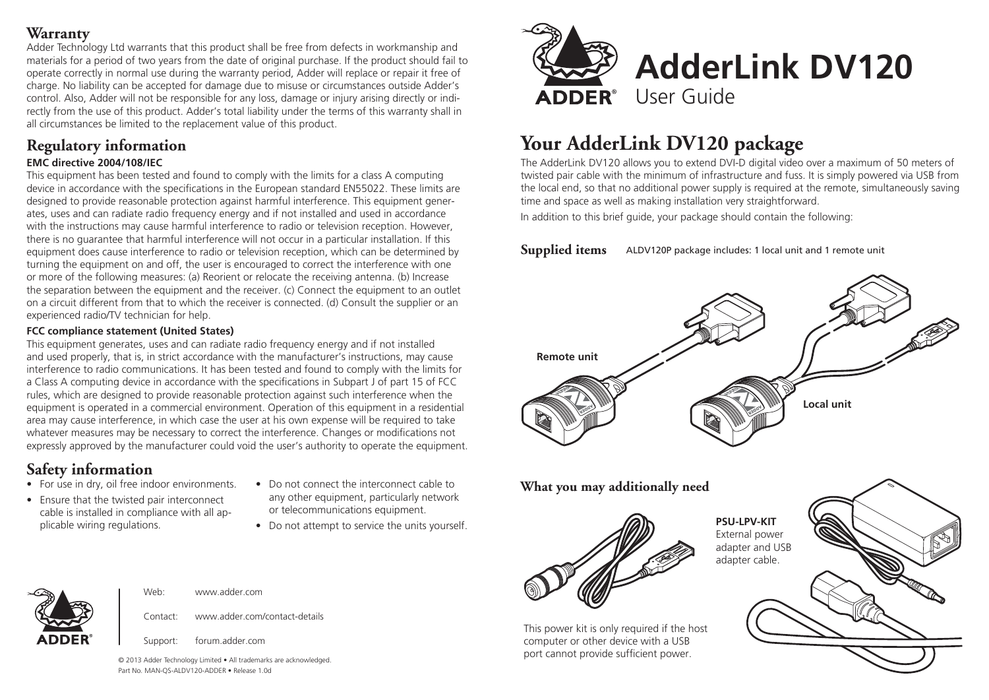#### **Warranty**

Adder Technology Ltd warrants that this product shall be free from defects in workmanship and materials for a period of two years from the date of original purchase. If the product should fail to operate correctly in normal use during the warranty period, Adder will replace or repair it free of charge. No liability can be accepted for damage due to misuse or circumstances outside Adder's control. Also, Adder will not be responsible for any loss, damage or injury arising directly or indirectly from the use of this product. Adder's total liability under the terms of this warranty shall in all circumstances be limited to the replacement value of this product.

## **Regulatory information**

#### **EMC directive 2004/108/IEC**

This equipment has been tested and found to comply with the limits for a class A computing device in accordance with the specifications in the European standard EN55022. These limits are designed to provide reasonable protection against harmful interference. This equipment generates, uses and can radiate radio frequency energy and if not installed and used in accordance with the instructions may cause harmful interference to radio or television reception. However, there is no guarantee that harmful interference will not occur in a particular installation. If this equipment does cause interference to radio or television reception, which can be determined by turning the equipment on and off, the user is encouraged to correct the interference with one or more of the following measures: (a) Reorient or relocate the receiving antenna. (b) Increase the separation between the equipment and the receiver. (c) Connect the equipment to an outlet on a circuit different from that to which the receiver is connected. (d) Consult the supplier or an experienced radio/TV technician for help.

#### **FCC compliance statement (United States)**

This equipment generates, uses and can radiate radio frequency energy and if not installed and used properly, that is, in strict accordance with the manufacturer's instructions, may cause interference to radio communications. It has been tested and found to comply with the limits for a Class A computing device in accordance with the specifications in Subpart J of part 15 of FCC rules, which are designed to provide reasonable protection against such interference when the equipment is operated in a commercial environment. Operation of this equipment in a residential area may cause interference, in which case the user at his own expense will be required to take whatever measures may be necessary to correct the interference. Changes or modifications not expressly approved by the manufacturer could void the user's authority to operate the equipment.

## **Safety information**

- For use in dry, oil free indoor environments.
- Ensure that the twisted pair interconnect cable is installed in compliance with all applicable wiring regulations.
- Do not connect the interconnect cable to any other equipment, particularly network or telecommunications equipment.
- Do not attempt to service the units yourself.



# **Your AdderLink DV120 package**

The AdderLink DV120 allows you to extend DVI-D digital video over a maximum of 50 meters of twisted pair cable with the minimum of infrastructure and fuss. It is simply powered via USB from the local end, so that no additional power supply is required at the remote, simultaneously saving time and space as well as making installation very straightforward.

In addition to this brief guide, your package should contain the following:

**Supplied items** ALDV120P package includes: 1 local unit and 1 remote unit



#### **What you may additionally need**



**PSU-LPV-KIT** External power adapter and USB adapter cable.





Support: forum.adder.com

Web: www.adder.com

© 2013 Adder Technology Limited • All trademarks are acknowledged. Part No. MAN-QS-ALDV120-ADDER • Release 1.0d

Contact: www.adder.com/contact-details